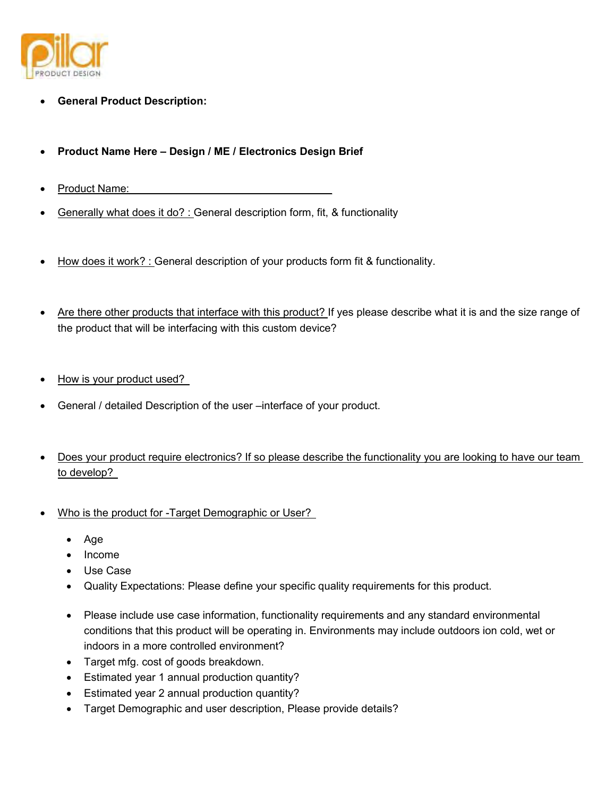

- **General Product Description:**
- **Product Name Here Design / ME / Electronics Design Brief**
- Product Name:
- Generally what does it do? : General description form, fit, & functionality
- How does it work? : General description of your products form fit & functionality.
- Are there other products that interface with this product? If yes please describe what it is and the size range of the product that will be interfacing with this custom device?
- How is your product used?
- General / detailed Description of the user –interface of your product.
- Does your product require electronics? If so please describe the functionality you are looking to have our team to develop?
- Who is the product for -Target Demographic or User?
	- Age
	- Income
	- Use Case
	- Quality Expectations: Please define your specific quality requirements for this product.
	- Please include use case information, functionality requirements and any standard environmental conditions that this product will be operating in. Environments may include outdoors ion cold, wet or indoors in a more controlled environment?
	- Target mfg. cost of goods breakdown.
	- Estimated year 1 annual production quantity?
	- Estimated year 2 annual production quantity?
	- Target Demographic and user description, Please provide details?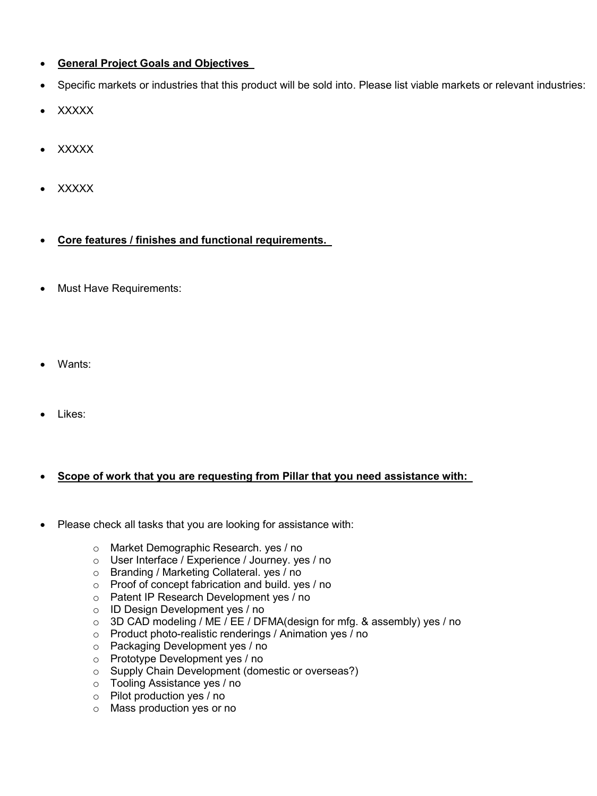## **General Project Goals and Objectives**

- Specific markets or industries that this product will be sold into. Please list viable markets or relevant industries:
- XXXXX
- **XXXXX**
- XXXXX
- **Core features / finishes and functional requirements.**
- Must Have Requirements:
- Wants:
- Likes:

## **Scope of work that you are requesting from Pillar that you need assistance with:**

- Please check all tasks that you are looking for assistance with:
	- o Market Demographic Research. yes / no
	- o User Interface / Experience / Journey. yes / no
	- o Branding / Marketing Collateral. yes / no
	- o Proof of concept fabrication and build. yes / no
	- o Patent IP Research Development yes / no
	- o ID Design Development yes / no
	- o 3D CAD modeling / ME / EE / DFMA(design for mfg. & assembly) yes / no
	- o Product photo-realistic renderings / Animation yes / no
	- o Packaging Development yes / no
	- o Prototype Development yes / no
	- o Supply Chain Development (domestic or overseas?)
	- o Tooling Assistance yes / no
	- o Pilot production yes / no
	- o Mass production yes or no